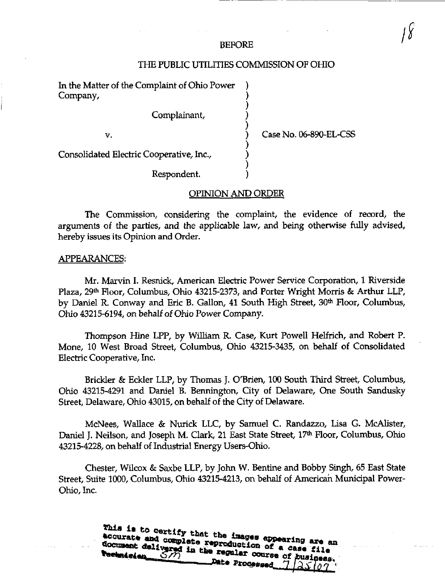### BEFORE

# THE PUBLIC UTILITIES COMMISSION OF OHIO

In the Matter of the Complaint of Ohio Power Company,

Complainant,

v.

Case No. 06-890-EL-CSS

Consolidated Electric Cooperative, Inc.,

Respondent.

# OPINION AND ORDER

The Commission, considering the complaint, the evidence of record, the arguments of the parties, and the applicable law, and being otherwise fully advised, hereby issues its Opinion and Order.

## APPEARANCES:

Mr. Marvin L Resnick, American Electric Power Service Corporation, 1 Riverside Plaza, 29<sup>th</sup> Floor, Columbus, Ohio 43215-2373, and Porter Wright Morris & Arthur LLP, by Daniel R. Conway and Eric B. Gallon, 41 South High Street, 30<sup>th</sup> Floor, Columbus, Ohio 43215-6194, on behalf of Ohio Power Company.

Thompson Hine LPP, by William R. Case, Kurt Powell Helfrich, and Robert P. Mone, 10 West Broad Street, Columbus, Ohio 43215-3435, on behalf of Consolidated Electric Cooperative, Inc.

Brickler & Eckler LLP, by Thomas J. O'Brien, 100 South Third Street, Columbus, Ohio 43215-4291 and Daniel B. Bennington, City of Delaware, One South Sandusky Street, Delaware, Ohio 43015, on behalf of the City of Delaware.

McNees, Wallace & Nurick LLC, by Samuel C. Randazzo, Lisa G. McAlister, Daniel J. Neilson, and Joseph M. Clark, 21 East State Street, 17<sup>th</sup> Floor, Columbus, Ohio 43215-4228, on behalf of Industrial Energy Users-Ohio.

Chester, Wilcox & Saxbe LLP, by John W. Bentine and Bobby Singh, 65 East State Street, Suite 1000, Columbus, Ohio 43215-4213, on behalf of American Municipal Power-Ohio, Inc.

> This is to certify that the images appearing are an accurate and complete reproduction of a case file document delivered in the regular course of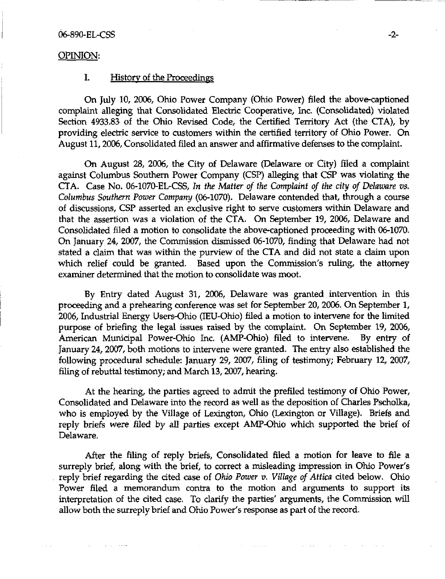### 06-890-EL-CSS -2-

### OPINION:

# I. History of the Proceedings

On July 10, 2006, Ohio Power Company (Ohio Power) filed the above-captioned complaint alleging that Consolidated Electric Cooperative, Inc. (Consolidated) violated Section 4933.83 of the Ohio Revised Code, the Certified Territory Act (the CTA), by providing electric service to customers within the certified territory of Ohio Power. On August 11,2006, Consolidated filed an answer and affirmative defenses to the complaint.

On August 28, 2006, the City of Delaware (Delaware or City) filed a complaint against Columbus Southern Power Company (CSP) alleging that CSP was violating the CTA. Case No. 06-1070-EL-CSS, In the Matter of the Complaint of the city of Delaware vs. Columbus Southern Power Company (06-1070). Delaware contended that, through a course of discussions, CSP asserted an exclusive right to serve customers within Delaware and that the assertion was a violation of the CTA. On September 19, 2006, Delaware and Consolidated filed a motion to consolidate the above-captioned proceeding with 06-1070. On January 24, 2007, the Commission dismissed 06-1070, finding that Delaware had not stated a claim that was within the purview of the CTA and did not state a claim upon which relief could be granted. Based upon the Commission's ruling, the attorney examiner determined that the motion to consolidate was moot.

By Entry dated August 31, 2006, Delaware was granted intervention in this proceeding and a prehearing conference was set for September 20, 2006. On September 1, 2006, Industrial Energy Users-Ohio (lEU-Ohio) filed a motion to intervene for the limited purpose of briefing the legal issues raised by the complaint. On September 19, 2006, American Municipal Power-Ohio Inc. (AMP-Ohio) filed to intervene. By entry of January 24, 2007, both motions to intervene were granted. The entry also established the following procedural schedule: January 29, 2007, filing of testimony; February 12, 2007, filing of rebuttal testimony; and March  $13$ ,  $2007$ , hearing.

At the hearing, the parties agreed to admit the prefiled testimony of Ohio Power, Consolidated and Delaware into the record as well as the deposition of Charles Pscholka, who is employed by the Village of Lexington, Ohio (Lexington or Village). Briefs and reply briefs were filed by aU parties except AMP-Ohio which supported the brief of Delaware.

After the filing of reply briefs. Consolidated filed a motion for leave to file a surreply brief, along with the brief, to correct a misleading impression in Ohio Power's reply brief regarding the cited case of Ohio Power  $v$ . Village of Attica cited below. Ohio Power filed a memorandum contra to the motion and arguments to support its interpretation of the cited case. To clarify the parties' arguments, the Commission will allow both the surreply brief and Ohio Power's response as part of the record.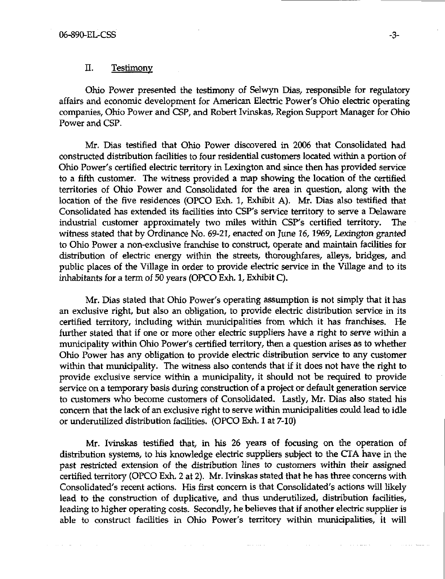## II. Testimony

Ohio Power presented the testimony of Selwyn Dias, responsible for regulatory affairs and economic development for American Electric Power's Ohio electric operating companies, Ohio Power and CSP, and Robert Ivinskas, Region Support Manager for Ohio Power and CSP.

Mr. Dias testified that Ohio Power discovered in 2006 that Consolidated had constructed distribution facilities to four residential customers located within a portion of Ohio Power's certified electric territory in Lexington and since then has provided service to a fifth customer. The witness provided a map showing the location of the certified territories of Ohio Power and Consolidated for the area in question, along with the location of the five residences (OPCO Exh. 1, Exhibit A). Mr. Dias also testified that Consolidated has extended its facilities into CSP's service territory to serve a Delaware industrial customer approximately two miles within CSP's certified territory. The witness stated that by Ordinance No. 69-21, enacted on June 16,1969, Lexington granted to Ohio Power a non-exclusive franchise to construct, operate and maintain facilities for distribution of electric energy within the streets, thoroughfares, alleys, bridges, and public places of the Village in order to provide electric service in the Village and to its inhabitants for a term of 50 years (OPCO Exh. 1, Exhibit C).

Mr. Dias stated that Ohio Power's operating assumption is not simply that it has an exclusive right, but also an obligation, to provide electric distribution service in its certified territory, including within municipalities from which it has franchises. He further stated that if one or more other electric suppliers have a right to serve within a municipality within Ohio Power's certified territory, then a question arises as to whether Ohio Power has any obligation to provide electric distribution service to any customer within that municipality. The witness also contends that if it does not have the right to provide exclusive service within a municipality, it should not be required to provide service on a temporary basis during construction of a project or default generation service to customers who become customers of Consolidated. Lastly, Mr. Dias also stated his concern that the lack of an exclusive right to serve within municipalities could lead to idle or underutilized distribution facilities. (OPCO Exh. 1 at 7-10)

Mr. Ivinskas testified that, in his 26 years of focusing on the operation of distribution systems, to his knowledge electric suppliers subject to the CTA have in the past restricted extension of the distribution lines to customers within their assigned certified territory (OPCO Exh. 2 at 2). Mr. Ivinskas stated that he has three concerns with Consolidated's recent actions. His first concern is that Consolidated's actions will likely lead to the construction of duplicative, and thus underutilized, distribution facilities, leading to higher operating costs. Secondly, he believes that if another electric supplier is able to construct facilities in Ohio Power's territory within municipalities, it will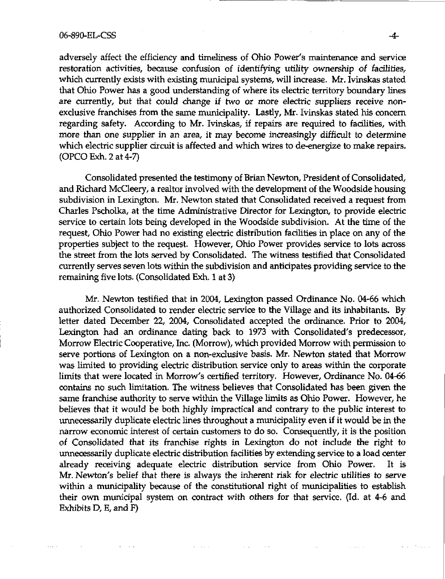#### 06-890-EL-CSS .4.

adversely affect the efficiency and timeliness of Ohio Power's maintenance and service restoration activities, because confusion of identifying utility ownership of facilities, which currently exists with existing municipal systems, will increase. Mr. Ivinskas stated that Ohio Power has a good understanding of where its electric territory boundary lines are currentiy, but that could change if two or more electric suppliers receive nonexclusive franchises from the same municipality. Lastly, Mr. Ivinskas stated his concern regarding safety. According to Mr. Ivinskas, if repairs are required to fadlities, with more than one supplier in an area, it may become increasingly difficult to determine which electric supplier circuit is affected and which wires to de-energize to make repairs. (OPCO Exh. 2 at 4-7)

Consolidated presented the testimony of Brian Newton, President of Consolidated, and Richard McCleery, a realtor involved with the development of the Woodside housing subdivision in Lexington. Mr. Newton stated that Consolidated received a request from Charles Pscholka, at the time Administrative Director for Lexington, to provide electric service to certain lots being developed in the Woodside subdivision. At the time of the request, Ohio Power had no existing electric distribution fadlities in place on any of the properties subject to the request. However, Ohio Power provides service to lots across the street from the lots served by Consolidated. The witness testified that Consolidated currently serves seven lots within the subdivision and anticipates providing service to the remaining five lots. (Consolidated Exh. 1 at 3)

Mr. Newton testified that in 2004, Lexington passed Ordinance No. 04-66 which authorized Consolidated to render electric service to the Village and its inhabitants. By letter dated December 22, 2004, Consolidated accepted the ordinance. Prior to 2004, Lexington had an ordinance dating back to 1973 with Consolidated's predecessor. Morrow Electric Cooperative, Inc. (Morrow), which provided Morrow with permission to serve portions of Lexington on a non-exdusive basis. Mr. Newton stated that Morrow was limited to providing electric distribution service only to areas within the corporate limits that were located in Morrow's certified territory. However, Ordinance No. 04-66 contains no such limitation. The witness believes that Consolidated has been given the same franchise authority to serve within the Village limits as Ohio Power. However, he believes that it would be both highly impractical and contrary to the public interest to unnecessarily duplicate electric lines throughout a municipality even if it would be in the narrow economic interest of certain customers to do so. Consequently, it is the position of Consolidated that its franchise rights in Lexington do not indude the right to unnecessarily duplicate electric distribution fadlities by extending service to a load center already receiving adequate electric distribution service from Ohio Power. It is Mr. Newton's belief that there is always the inherent risk for electric utilities to serve within a municipality because of the constitutional right of municipalities to establish their own municipal system on contract with others for that service. (Id. at 4-6 and Exhibits D, E, and F)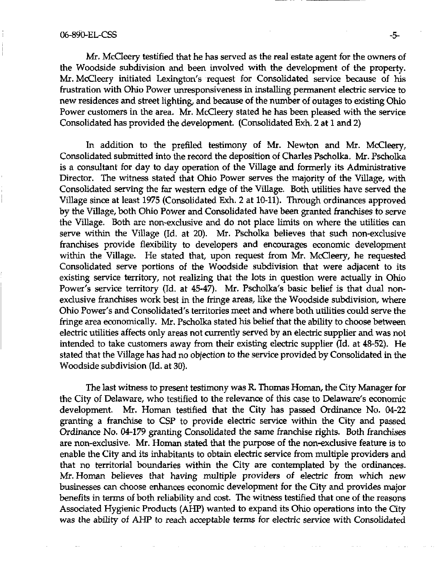Mr. McCleery testified that he has served as the real estate agent for the owners of the Woodside subdivision and been involved with the development of the property. Mr. McCleery initiated Lexington's request for Consolidated service because of his frustration with Ohio Power unresponsiveness in installing permanent electric service to new residences and street lighting, and because of the number of outages to existing Ohio Power customers in the area. Mr. McCleery stated he has been pleased with the service Consohdated has provided the development. (Consolidated Exh. 2 at 1 and 2)

In addition to the prefiled testimony of Mr. Newton and Mr. McCleery, Consolidated submitted into the record the deposition of Charles Pscholka. Mr. Pscholka is a consultant for day to day operation of the Village and formerly its Administrative Director. The witness stated that Ohio Power serves the majority of the Village, with Consolidated serving the far western edge of the Village. Both utilities have served the Village since at least 1975 (Consolidated Exh. 2 at 10-11). Through ordinances approved by the Village, both Ohio Power and Consolidated have been granted franchises to serve the Village. Both are non-exdusive and do not place limits on where the utilities can serve within the Village (Id. at 20). Mr. Pscholka believes that such non-exclusive franchises provide flexibility to developers and encourages economic development within the Village. He stated that, upon request from Mr. McCleery, he requested Consolidated serve portions of the Woodside subdivision that were adjacent to its existing service territory, not realizing that the lots in question were actually in Ohio Power's service territory (Id. at 45-47). Mr. Pscholka's basic belief is that dual nonexclusive franchises work best in the fringe areas, like the Woodside subdivision, where Ohio Power's and Consolidated's territories meet and where both utilities could serve the fringe area economically. Mr. Pscholka stated his belief that the ability to choose between electric utilities affects only areas not currently served by an electric supplier and was not intended to take customers away from their existing electric supplier (Id. at 48-52). He stated that the Village has had no objection to the service provided by Consolidated in the Woodside subdivision (Id. at 30).

The last witness to present testimony was R. Thomas Homan, the City Manager for the City of Delaware, who testified to the relevance of this case to Delaware's economic development. Mr. Homan testified that the City has passed Ordinance No. 04-22 granting a franchise to CSP to provide electric service within the City and passed Ordinance No. 04-179 granting Consolidated the same franchise rights. Both franchises are non-exclusive. Mr. Homan stated that the purpose of the non-exdusive feature is to enable the City and its inhabitants to obtain electric service from multiple providers and that no territorial boundaries within the City are contemplated by the ordinances. Mr. Homan believes that having multiple providers of electric from which new businesses can choose enhances economic development for the City and provides major benefits in terms of both reliability and cost. The witness testified that one of the reasons Assodated Hygienic Products (AHP) wanted to expand its Ohio operations into the City was the ability of AHP to reach acceptable terms for electric service with Consolidated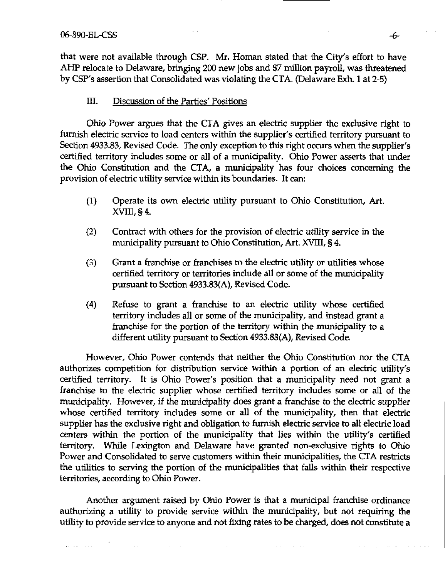that were not available through CSP. Mr. Homan stated that the City's effort to have AHP relocate to Delaware, bringing 200 new jobs and \$7 million payroll, was threatened by CSP's assertion that Consolidated was violating the CTA. (Delaware Exh. 1 at 2-5)

# III. Discussion of the Parties' Positions

Ohio Power argues that the CTA gives an electric supplier the exclusive right to furnish electric service to load centers within the supplier's certified territory pursuant to Section 4933.83, Revised Code. The only exception to this right occurs when the supplier's certified territory indudes some or all of a munidpality. Ohio Power asserts that under the Ohio Constitution and the CTA, a mimidpality has four choices concerning the provision of electric utility service within its boundaries. It can:

- (1) Operate its own electric utility pursuant to Ohio Constitution, Art.  $XVIII$ , § 4.
- (2) Contract with others for the provision of electric utility service in the municipality pursuant to Ohio Constitution, Art. XVIII, § 4.
- $(3)$  Grant a franchise or franchises to the electric utility or utilities whose certified territory or territories include all or some of the munidpality pursuant to Section 4933.83(A), Revised Code.
- (4) Refuse to grant a franchise to an electric utility whose certified territory includes all or some of the municipality, and instead grant a franchise for the portion of the territory within the municipality to a different utility pursuant to Section 4933.83(A), Revised Code.

However, Ohio Power contends that neither the Ohio Constitution nor the CTA authorizes competition for distribution service within a portion of an electric utility's certified territory. It is Ohio Power's position that a municipality need not grant a franchise to the electric supplier whose certified territory includes some or all of the municipality. However, if the municipality does grant a franchise to the electric supplier whose certified territory includes some or all of the municipality, then that electric supplier has the exclusive right and obligation to furnish electric service to all electric load centers within the portion of the municipality that lies within the utility's certified territory. While Lexington and Delaware have granted non-exdusive rights to Ohio Power and Consolidated to serve customers within their municipalities, the CTA restricts the utilities to serving the portion of the municipalities that falls within their respective territories, according to Ohio Power.

Another argument raised by Ohio Power is that a municipal franchise ordinance authorizing a utility to provide service within the municipality, but not requiring the utility to provide service to anyone and not fixing rates to be charged, does not constitute a

**Contractor**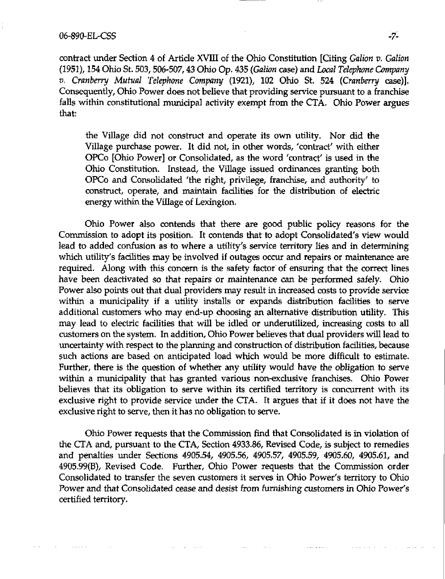### 06-890-EL-CSS -7-

contract under Section 4 of Article XVIII of the Ohio Constitution [Citing Galion v. Galion (1951), 154 Ohio St. 503,506-507,43 Ohio Op. 435 (Galion case) and Local Telephone Company V. Cranberry Mutual Telephone Company (1921), 102 Ohio St. 524 (Cranberry case)]. Consequently, Ohio Power does not believe that providing service pursuant to a franchise falls within constitutional municipal activity exempt from the CTA. Ohio Power argues that:

the Village did not construct and operate its own utility. Nor did the Village purchase power. It did not, in other words, 'contract' with either OPCo [Ohio Power] or Consolidated, as the word 'contract' is used in the Ohio Constitution. Instead, the Village issued ordinances granting both OPCo and Consolidated 'the right, privilege, franchise, and authority' to construct, operate, and maintain fadlities for the distribution of electric energy within the Village of Lexington.

Ohio Power also contends that there are good public policy reasons for the Commission to adopt its position. It contends that to adopt Consolidated's view would lead to added confusion as to where a utility's service territory lies and in determining which utility's facilities may be involved if outages occur and repairs or maintenance are required. Along with this concern is the safety factor of ensuring that the correct lines have been deactivated so that repairs or maintenance can be performed safely. Ohio Power also points out that dual providers may result in increased costs to provide service within a municipality if a utility installs or expands distribution facilities to serve additional customers who may end-up choosing an altemative distribution utility. This may lead to electric facilities that will be idled or underutilized, increasing costs to all customers on the system. In addition, Ohio Power believes that dual providers will lead to uncertainty with respect to the planning and construction of distribution facilities, because such actions are based on anticipated load which would be more difficult to estimate. Further, there is the question of whether any utility would have the obligation to serve within a municipality that has granted various non-exclusive franchises. Ohio Power believes that its obligation to serve within its certified territory is concurrent with its exdusive right to provide service under the CTA. It argues that if it does not have the exdusive right to serve, then it has no obligation to serve.

Ohio Power requests that the Commission find that Consolidated is in violation of the CTA and, pursuant to the CTA, Section 4933.86, Revised Code, is subject to remedies and penalties under Sections 4905.54, 4905.56, 4905.57, 4905.59, 4905.60, 4905.61, and 4905.99(B), Revised Code. Further, Ohio Power requests that the Commission order Consolidated to transfer the seven customers it serves in Ohio Power's territory to Ohio Power and that Consolidated cease and desist from furnishing customers in Ohio Power's certified territory.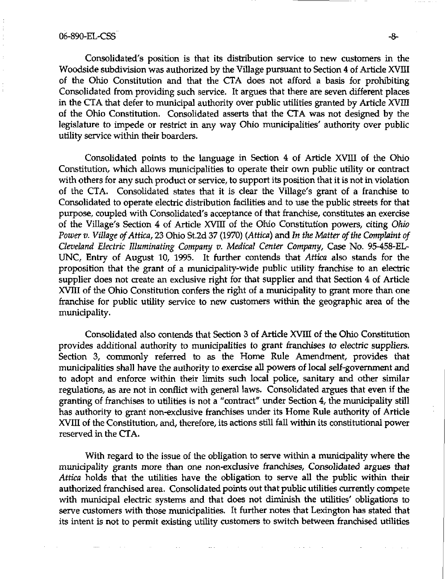# 06-890-EL-CSS -8-

Consolidated's position is that its distribution service to new customers in the Woodside subdivision was authorized by the Village pursuant to Section 4 of Article XVIII of the Ohio Constitution and that the CTA does not afford a basis for prohibiting Consolidated from providing such service. It argues that there are seven different places in the CTA that defer to municipal authority over public utilities granted by Article XVIII of the Ohio Constitution. Consolidated asserts that the CTA was not designed by the legislature to impede or restrict in any way Ohio murucipalities' authority over public utility service within their boarders.

Consolidated points to the language in Section 4 of Artide XVIII of the Ohio Constitution, which allows municipalities to operate their own public utility or contract with others for any such product or service, to support its position that it is not in violation of the CTA. Consolidated states that it is dear the Village's grant of a franchise to Consolidated to operate electric distribution facilities and to use the public streets for that purpose, coupled with Consolidated's acceptance of that franchise, constitutes an exerdse of the Village's Section 4 of Artide XVIII of the Ohio Constitution powers, citing Ohio Power v. Village of Attica, 23 Ohio St.2d 37 (1970) (Attica) and In the Matter of the Complaint of Cleveland Electric Illuminating Company v. Medical Center Company, Case No. 95-458-EL-UNC, Entry of August 10, 1995. It further contends that Attica also stands for the proposition that the grant of a municipality-wide public utility franchise to an electric supplier does not create an exclusive right for that supplier and that Section 4 of Article XVIII of the Ohio Constitution confers the right of a municipality to grant more than one franchise for public utility service to new customers within the geographic area of the municipality.

Consolidated also contends that Section 3 of Artide XVm of the Ohio Constitution provides additional authority to municipalities to grant franchises to electric suppliers. Section 3, commonly referred to as the Home Rule Amendment, provides that municipalities shall have the authority to exercise all powers of local self-government and to adopt and enforce within their limits such local police, sanitary and other similar regulations, as are not in conflict with general laws. Consolidated argues that even if the granting of franchises to utilities is not a "contract" under Section 4, the municipality still has authority to grant non-exdusive franchises under its Home Rule authority of Article XVIII of the Constitution, and, therefore, its actions still fall within its constitutional power reserved in the CTA.

With regard to the issue of the obligation to serve within a municipality where the municipality grants more than one non-exclusive franchises, Consolidated argues that Attica holds that the utilities have the obligation to serve all the public within their authorized franchised area. Consolidated points out that public utilities currently compete with municipal electric systems and that does not diminish the utilities' obligations to serve customers with those munidpalities. It further notes that Lexington has stated that its intent is not to permit existing utility customers to switch between franchised utilities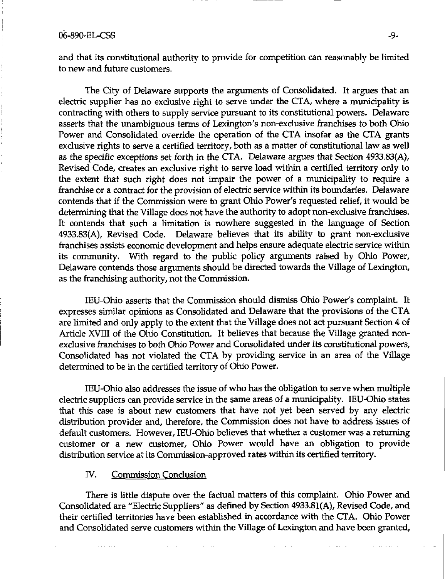and that its constitutional authority to provide for competition can reasonably be limited to new and future customers.

The City of Delaware supports the arguments of Consolidated. It argues that an electric supplier has no exclusive right to serve under the CTA, where a municipality is contracting with others to supply service pursuant to its constitutional powers. Delaware asserts that the unambiguous terms of Lexington's non-exdusive franchises to both Ohio Power and Consolidated override the operation of the CTA insofar as the CTA grants exdusive rights to serve a certified territory, both as a matter of constitutional law as well as the specific exceptions set forth in the CTA. Delaware argues that Section 4933.83(A), Revised Code, creates an exclusive right to serve load within a certified territory only to the extent that such right does not impair the power of a municipality to require a franchise or a contract for the provision of electric service within its boundaries. Delaware contends that if the Commission were to grant Ohio Power's requested relief, it would be determining that the Village does not have the authority to adopt non-exdusive franchises. It contends that such a limitation is nowhere suggested in the language of Section 4933.83(A), Revised Code. Delaware believes that its ability to grant non-exclusive franchises assists economic development and helps ensure adequate electric service within its community. With regard to the public policy arguments raised by Ohio Power, Delaware contends those arguments should be directed towards the Village of Lexington, as the franchising authority, not the Commission.

lEU-Ohio asserts that the Commission should dismiss Ohio Power's complaint. It expresses similar opinions as Consolidated and Delaware that the provisions of the CTA are limited and only apply to the extent that the Village does not act pursuant Section 4 of Article XVIII of the Ohio Constitution. It believes that because the Village granted nonexdusive franchises to both Ohio Power and Consolidated under its constitutional powers, Consolidated has not violated the CTA by providing service in an area of the Village determined to be in the certified territory of Ohio Power.

lEU-Ohio also addresses the issue of who has the obligation to serve when multiple electric suppliers can provide service in the same areas of a municipality. IEU-Ohio states that this case is about new customers that have not yet been served by any electric distribution provider and, therefore, the Commission does not have to address issues of default customers. However, lEU-Ohio believes that whether a customer was a retuming customer or a new customer, Ohio Power would have an obligation to provide distribution service at its Commission-approved rates within its certified territory.

### IV. Commission Conclusion

There is little dispute over the factual matters of this complaint. Ohio Power and Consolidated are "Electric Suppliers" as defined by Section 4933.81(A), Revised Code, and their certified territories have been established in accordance with the CTA. Ohio Power and Consolidated serve customers within the Village of Lexington and have been granted,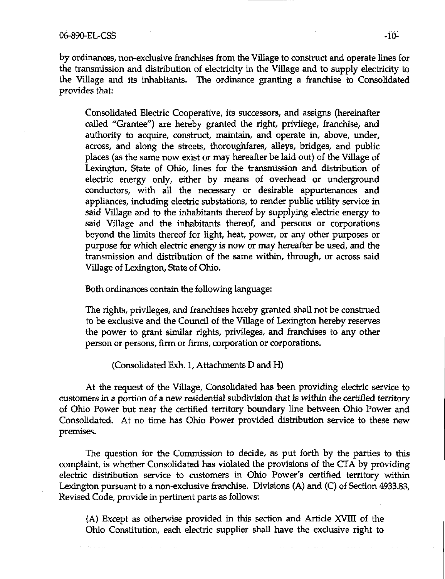### 06-890-EL-CSS -10-

by ordinances, non-exclusive franchises from the Village to construct and operate lines for the transmission and distribution of electricity in the Village and to supply electricity to the Village and its inhabitants. The ordinance granting a franchise to Consolidated provides that:

Consolidated Electric Cooperative, its successors, and assigns (hereinafter called "Grantee") are hereby granted the right, privilege, franchise, and authority to acquire, construct, maintain, and operate in, above, under, across, and along the streets, thoroughfares, alleys, bridges, and public places (as the same now exist or may hereafter be laid out) of the Village of Lexington, State of Ohio, lines for the transmission and distribution of electric energy only, either by means of overhead or underground conductors, with all the necessary or desirable appurtenances and appliances, induding electric substations, to render public utility service in said Village and to the inhabitants thereof by supplying electric energy to said ViUage and the inhabitants thereof, and persons or corporations beyond the limits thereof for light, heat, power, or any other purposes or purpose for which electric energy is now or may hereafter be used, and the transmission and distribution of the same within, through, or across said Village of Lexington, State of Ohio.

Both ordinances contain the following language:

The rights, privileges, and franchises hereby granted shall not be construed to be exclusive and the Council of the Village of Lexington hereby reserves the power to grant similar rights, privileges, and franchises to any other person or persons, firm or firms, corporation or corporations.

(Consolidated Exh. 1, Attachments D and H)

At the request of the ViUage, Consolidated has been providing electric service to customers in a portion of a new residential subdivision that is within the certified territory of Ohio Power but near the certified territory boundary line between Ohio Power and Consolidated. At no time has Ohio Power provided distribution service to these new premises.

The question for the Commission to decide, as put forth by the parties to this complaint, is whether Consolidated has violated the provisions of the CTA by providing electric distribution service to customers in Ohio Power's certified territory within Lexington pursuant to a non-exdusive franchise. Divisions (A) and (C) of Section 4933.83, Revised Code, provide in pertinent parts as follows:

(A) Except as otherwise provided in this section and Article XVIII of the Ohio Constitution, each electric supplier shall have the exdusive right to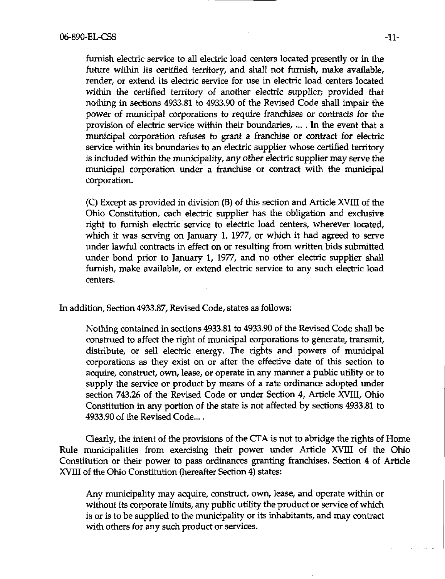furnish electric service to all electric load centers located presently or in the future within its certified territory, and shall not furnish, make available, render, or extend its electric service for use in electric load centers located within the certified territory of another electric supplier; provided that nothing in sections 4933.81 to 4933.90 of the Revised Code shaU impair the power of municipal corporations to require franchises or contracts for the provision of electric service within their boundaries, ... . In the event that a munidpal corporation refuses to grant a franchise or contract for electric service within its boundaries to an electric supplier whose certified territory is included within the municipality, any other electric supplier may serve the municipal corporation under a franchise or contract with the municipal corporation.

(C) Except as provided in division (B) of this section and Artide XVIII of the Ohio Constitution, each electric supplier has the obligation and exclusive right to furnish electric service to electric load centers, wherever located, which it was serving on January 1, 1977, or which it had agreed to serve under lawful contracts in effect on or resulting from written bids submitted under bond prior to January 1, 1977, and no other electric supplier shall furnish, make available, or extend electric service to any such electric load centers.

In addition, Section 4933.87, Revised Code, states as follows:

Nothing contained in sections 4933.81 to 4933.90 of the Revised Code shaU be construed to affect the right of municipal corporations to generate, transmit, distribute, or sell electric energy. The rights and powers of municipal corporations as they exist on or after the effective date of this section to acquire, construct, own, lease, or operate in any manner a public utility or to supply the service or product by means of a rate ordinance adopted under section 743.26 of the Revised Code or under Section 4, Article XVIII, Ohio Constitution in any portion of the state is not affected by sections 4933.81 to 4933.90 of the Revised Code..,.

Clearly, the intent of the provisions of the CTA is not to abridge the rights of Home Rule municipalities from exercising their power under Article XVIII of the Ohio Constitution or their power to pass ordinances granting franchises. Section 4 of Artide XVIII of the Ohio Constitution (hereafter Section 4) states:

Any municipality may acquire, construct, own, lease, and operate within or without its corporate limits, any public utility the product or service of which is or is to be supplied to the municipality or its inhabitants, and may contract with others for any such product or services.

 $\sim 100$ 

 $\alpha$  ,  $\alpha$  ,  $\alpha$  ,  $\alpha$ 

 $\sim 10$ 

**Service** 

and a strike and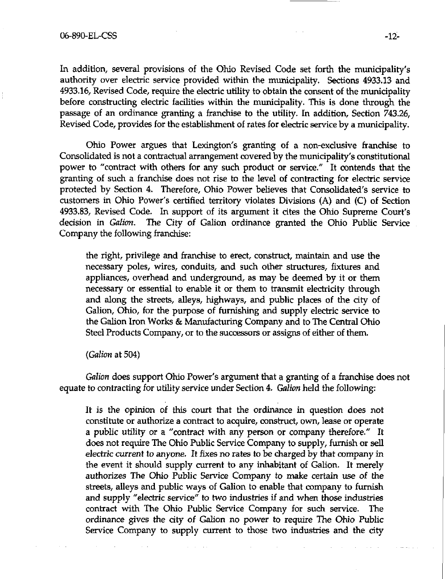In addition, several provisions of the Ohio Revised Code set forth the municipality's authority over electric service provided within the municipality. Sections 4933.13 and 4933.16, Revised Code, require the electric utility to obtain the consent of the municipality before constructing electric facilities within the municipality. This is done through the passage of an ordinance granting a franchise to the utility. In addition. Section 743.26, Revised Code, provides for the establishment of rates for electric service by a municipality.

Ohio Power argues that Lexington's granting of a non-exclusive franchise to Consolidated is not a contractual arrangement covered by the municipality's constitutional power to "contract with others for any such product or service." It contends that the granting of such a franchise does not rise to the level of contracting for electric service protected by Section 4. Therefore, Ohio Power believes that Consolidated's service to customers in Ohio Power's certified territory violates Divisions (A) and (C) of Section 4933.83, Revised Code. In support of its argument it cites the Ohio Supreme Court's decision in Galion. The City of Galion ordinance granted the Ohio Public Service Company the following franchise:

the right, privilege and franchise to erect, construct, maintain and use the necessary poles, wires, conduits, and such other structures, fixtures and appliances, overhead and underground, as may be deemed by it or them necessary or essential to enable it or them to transmit electricity through and along the streets, alleys, highways, and public places of the city of Galion, Ohio, for the purpose of furnishing and supply electric service to the Galion Iron Works & Manufacturing Company and to The Central Ohio Steel Products Company, or to the successors or assigns of either of them.

(*Galion* at 504)

Galion does support Ohio Power's argument that a granting of a franchise does not equate to contracting for utility service under Section 4. Galion held the following:

It is the opinion of this court that the ordinance in question does not constitute or authorize a contract to acquire, construct, own, lease or operate a public utility or a "contract with any person or company therefore." It does not require The Ohio Public Service Company to supply, furnish or sell electric current to anyone. It fixes no rates to be charged by that company in the event it should supply current to any inhabitant of Galion. It merely authorizes The Ohio Public Service Company to make certain use of the streets, alleys and public ways of Galion to enable that company to furnish and supply "electric service" to two industries if and when those industries contract with The Ohio Public Service Company for such service. The ordinance gives the city of Galion no power to require The Ohio Public Service Company to supply current to those two industries and the dty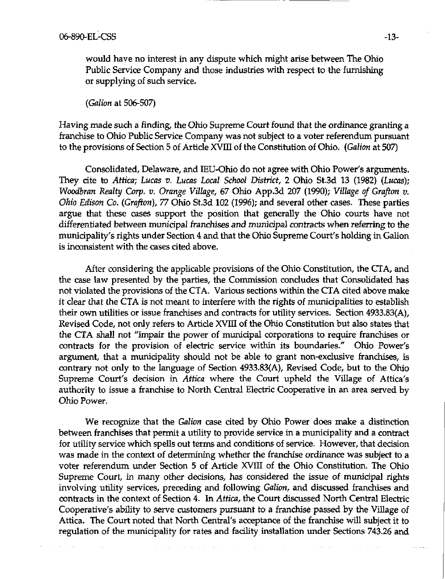would have no interest in any dispute which might arise between The Ohio Public Service Company and those industries with respect to the furnishing or supplying of such service.

(Galion at 506-507)

Having made such a finding, the Ohio Supreme Court found that the ordinance granting a franchise to Ohio Public Service Company was not subject to a voter referendum pursuant to the provisions of Section 5 of Artide XVIII of the Constitution of Ohio. {Galion at 507)

Consolidated, Delaware, and IEU-Ohio do not agree with Ohio Power's arguments. They cite to Attica; Lucas v. Lucas Local School District, 2 Ohio St.3d 13 (1982) (Lucas); Woodbran Realty Corp. v. Orange Village, 67 Ohio App.3d 207 (1990); Village of Grafton v. Ohio Edison Co. (Grafton), 77 Ohio St.3d 102 (1996); and several other cases. These parties argue that these cases support the position that generally the Ohio courts have not differentiated between municipal franchises and municipal contracts when referring to the municipality's rights under Section 4 and that the Ohio Supreme Court's holding in Galion is inconsistent with the cases cited above.

After considering the applicable provisions of the Ohio Constitution, the CTA, and the case law presented by the parties, the Commission condudes that Consolidated has not violated the provisions of the CTA. Various sections within the CTA cited above make it clear that the CTA is not meant to interfere with the rights of municipalities to establish their own utilities or issue franchises and contracts for utility services. Section 4933.83(A), Revised Code, not only refers to Artide XVIII of the Ohio Constitution but also states that the CTA shall not "impair the power of munidpal corporations to require franchises or contracts for the provision of electric service within its boundaries." Ohio Power's argument, that a municipality should not be able to grant non-exdusive franchises, is contrary not only to the language of Section 4933.83(A), Revised Code, but to the Ohio Supreme Court's decision in Attica where the Court upheld the Village of Attica's authority to issue a franchise to North Central Electric Cooperative tn an area served by Ohio Power.

We recognize that the Galion case cited by Ohio Power does make a distinction between franchises that permit a utility to provide service in a municipality and a contract for utility service which spells out terms and conditions of service. However, that decision was made in the context of determining whether the franchise ordinance was subject to a voter referendimi under Section 5 of Artide XVIII of the Ohio Constitution. The Ohio Supreme Court, in many other decisions, has considered the issue of municipal rights involving utility services, preceding and following Galion, and discussed franchises and contracts in the context of Section 4. In Attica, the Court discussed North Central Electric Cooperative's ability to serve customers pursuant to a franchise passed by the ViUage of Attica. The Court noted that North Central's acceptance of the franchise will subject it to regulation of the municipality for rates and facility installation under Sections 743.26 and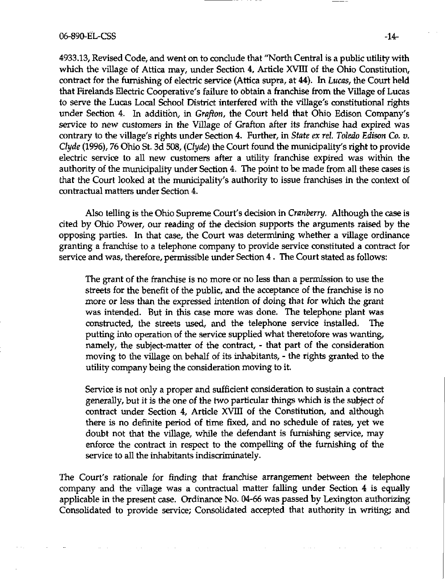4933.13, Revised Code, and went on to conclude that "North Central is a public utility with which the village of Attica may, under Section 4, Artide XVIII of the Ohio Constitution, contract for the furnishing of electric service (Attica supra, at 44). In Lucas, the Court held that Firelands Electric Cooperative's failure to obtain a franchise from the Village of Lucas to serve the Lucas Local School District interfered with the village's constitutional rights under Section 4. In addition, in Grafton, the Court held that Ohio Edison Company's service to new customers in the Village of Grafton after its franchise had expired was contrary to the village's rights under Section 4. Further, in State ex rel. Toledo Edison Co. v. Clyde (1996), 76 Ohio St. 3d 508, (Clyde) the Court found the municipality's right to provide electric service to all new customers after a utility franchise expired was within the authority of the municipality under Section 4. The point to be made from all these cases is that the Court looked at the municipality's authority to issue franchises in the context of contractual matters under Section 4.

Also telling is the Ohio Supreme Court's decision in Cranberry. Although the case is cited by Ohio Power, our reading of the decision supports the arguments raised by the opposing parties. In that case, the Court was determining whether a village ordinance granting a franchise to a telephone company to provide service constituted a contract for service and was, therefore, permissible under Section 4. The Court stated as follows:

The grant of the franchise is no more or no less than a permission to use the streets for the benefit of the public, and the acceptance of the franchise is no more or less than the expressed intention of doing that for which the grant was intended. But in this case more was done. The telephone plant was construded, the streets used, and the telephone service instaUed. The putting into operation of the service supplied what theretofore was wanting, namely, the subject-matter of the contract, - that part of the consideration moving to the village on behalf of its inhabitants, - the rights granted to the utility company being the consideration moving to it.

Service is not only a proper and sufficient consideration to sustain a contract generally, but it is the one of the two particular things which is the subject of contract under Section 4, Artide XVIII of the Constitution, and although there is no definite period of time fixed, and no schedule of rates, yet we doubt not that the village, while the defendant is furnishing service, may enforce the contract in respect to the compelling of the furnishing of the service to all the inhabitants indiscriminately.

The Court's rationale for finding that franchise arrangement between the telephone company and the village was a contractual matter falling under Section 4 is equally applicable in the present case. Ordinance No. 04-66 was passed by Lexington authorizing Consolidated to provide service; Consolidated accepted that authority in writing; and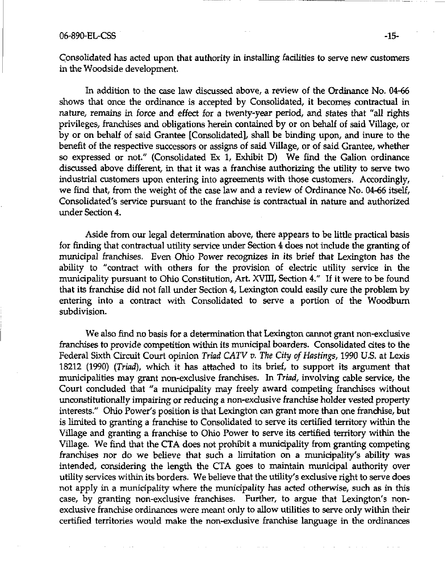### 06-890-EL-CSS -15-

Consolidated has acted upon that authority in installing facilities to serve new customers in the Woodside development.

In addition to the case law discussed above, a review of the Ordinance No. 04-66 shows that once the ordinance is accepted by Consolidated, it becomes contractual in nature, remains in force and effect for a twenty-year period, and states that "all rights privileges, franchises and obligations herein contained by or on behalf of said Village, or by or on behalf of said Grantee [Consolidated], shall be binding upon, and inure to the benefit of the respective successors or assigns of said Village, or of said Grantee, whether so expressed or not." (Consolidated Ex 1, Exhibit D) We find the Galion ordinance discussed above different, in that it was a franchise authorizing the utility to serve two industrial customers upon entering into agreements with those customers. Accordingly, we find that, from the weight of the case law and a review of Ordinance No. 04-66 itself, Consolidated's service pursuant to the franchise is contractual in nature and authorized under Section 4.

Aside from our legal determination above, there appears to be little practical basis for finding that contractual utility service under Section 4 does not include the granting of munidpal franchises. Even Ohio Power recognizes in its brief that Lexington has the ability to "contract with others for the provision of electric utility service in the municipality pursuant to Ohio Constitution, Art. XVIII, Section 4." If it were to be found that its franchise did not fall under Section 4, Lexington could easily cure the problem by entering into a contract with Consolidated to serve a portion of the Woodburn subdivision.

We also find no basis for a determination that Lexington cannot grant non-exdusive franchises to provide competition within its municipal boarders. Consolidated cites to the Federal Sixth Circuit Court opinion Triad CATV v. The City of Hastings, 1990 U.S. at Lexis 18212 (1990) (Triad), which it has attached to its brief, to support its argument that municipalities may grant non-exclusive franchises. In Triad, involving cable service, the Court concluded that "a municipality may freely award competing franchises without unconstitutionally impairing or reducing a non-exclusive franchise holder vested property interests." Ohio Power's position is that Lexington can grant more than one frandiise, but is limited to granting a franchise to Consolidated to serve its certified territory within the Village and granting a franchise to Ohio Power to serve its certified territory within the Village. We find that the CTA does not prohibit a municipality from granting competing franchises nor do we believe that such a limitation on a municipality's ability was intended, considering the length the CTA goes to maintain municipal authority over utility services within its borders. We believe that the utility's exclusive right to serve does not apply in a municipality where the municipality has acted otherwise, such as in this case, by granting non-exclusive franchises. Further, to argue that Lexington's nonexclusive franchise ordinances were meant only to allow utilities to serve only within their certified territories would make the non-exdusive franchise language in the ordinances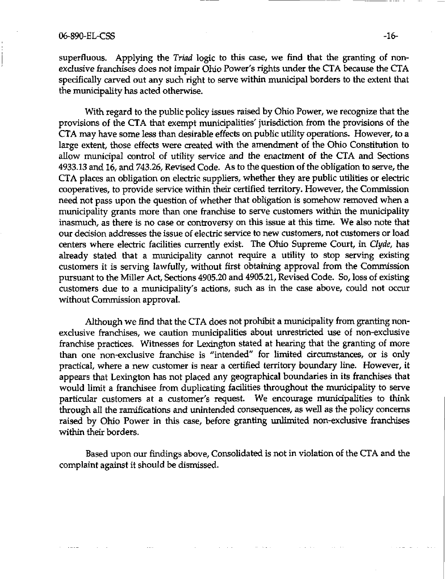superfluous. Applying the Triad logic to this case, we find that the granting of nonexdusive franchises does not impair Ohio Power's rights under the CTA because the CTA specifically carved out any such right to serve within municipal borders to the extent that the munidpality has acted otherwise.

With regard to the public policy issues raised by Ohio Power, we recognize that the provisions of the CTA that exempt munidpalities' jurisdiction from the provisions of the CTA may have some less than desirable effects on public utility operations. However, to a large extent, those effects were created with the amendment of the Ohio Constitution to allow municipal control of utility service and the enactment of the CTA and Sections 4933.13 and 16, and 743.26, Revised Code. As to the question of the obligation to serve, the CTA places an obligation on electric suppliers, whether they are public utilities or electric cooperatives, to provide service within their certified territory. However, the Commission need not pass upon the question of whether that obligation is somehow removed when a municipality grants more than one franchise to serve customers within the municipality inasmuch, as there is no case or controversy on this issue at this time. We also note that our decision addresses the issue of electric service to new customers, not customers or load centers where electric facilities currently exist. The Ohio Supreme Court, in Clyde, has already stated that a municipality cannot require a utility to stop serving existing customers it is serving lawfully, without first obtaining approval from the Commission pursuant to the MiUer Act, Sections 4905.20 and 4905.21, Revised Code. So, loss of existing customers due to a municipality's actions, such as in the case above, could not occur without Commission approval.

Although we find that the CTA does not prohibit a municipality from granting nonexclusive franchises, we caution municipalities about unrestricted use of non-exclusive franchise practices. Witnesses for Lexington stated at hearing that the granting of more than one non-exclusive franchise is "intended" for limited circumstances, or is only practical, where a new customer is near a certified territory boundary line. However, it appears that Lexington has not placed any geographical boundaries in its franchises that would limit a franchisee from duplicating facilities throughout the municipality to serve particular customers at a customer's request. We encourage municipalities to think through all the ramifications and unintended consequences, as well as the policy concerns raised by Ohio Power in this case, before granting unlimited non-exdusive franchises within their borders.

Based upon our findings above. Consolidated is not in violation of the CTA and the complaint against it should be dismissed.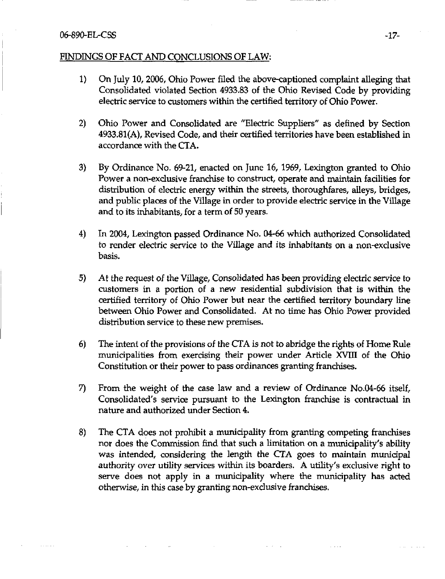### 06-890-EL-CSS -17-

## FINDINGS OF FACT AND CONCLUSIONS OF LAW:

- 1) On July 10, 2006, Ohio Power filed the above-captioned complaint alleging that Consolidated violated Section 4933.83 of the Ohio Revised Code by providing electric service to customers within the certified territory of Ohio Power.
- 2) Ohio Power and Consolidated are "Electric Suppliers" as defined by Section 4933.81(A), Revised Code, and their certified territories have been established in accordance with the CTA.
- 3) By Ordinance No. 69-21, enacted on June 16, 1969, Lexington granted to Ohio Power a non-exclusive franchise to construct, operate and maintain facilities for distribution of electric energy within the streets, thoroughfares, alleys, bridges, and public places of the Village in order to provide electric service in the Village and to its inhabitants, for a term of 50 years.
- 4) In 2004, Lexington passed Ordinance No. 04-66 which authorized Consolidated to render electtic service to the VUlage and its inhabitants on a non-exclusive basis.
- 5) At the request of the Village, Consolidated has been providing electric service to customers in a portion of a new residential subdivision that is within the certified territory of Ohio Power but near the certified territory boundary line between Ohio Power and Consolidated. At no time has Ohio Power provided distribution service to these new premises.
- 6) The intent of the provisions of the CTA is not to abridge the rights of Home Rule municipalities from exercising their power under Article XVIII of the Ohio Constitution or their power to pass ordinances granting franchises.
- 7) From the weight of the case law and a review of Ordinance No.04-66 itself, Consolidated's service pursuant to the Lexington franchise is contractual in nature and authorized imder Section 4.
- 8) The CTA does not prohibit a municipality from granting competing franchises nor does the Commission find that such a limitation on a municipality's ability was intended, considering the length the CTA goes to maintain munidpal authority over utility services within its boarders. A utility's exdusive right to serve does not apply in a municipality where the municipality has acted otherwise, in this case by granting non-exdusive franchises.